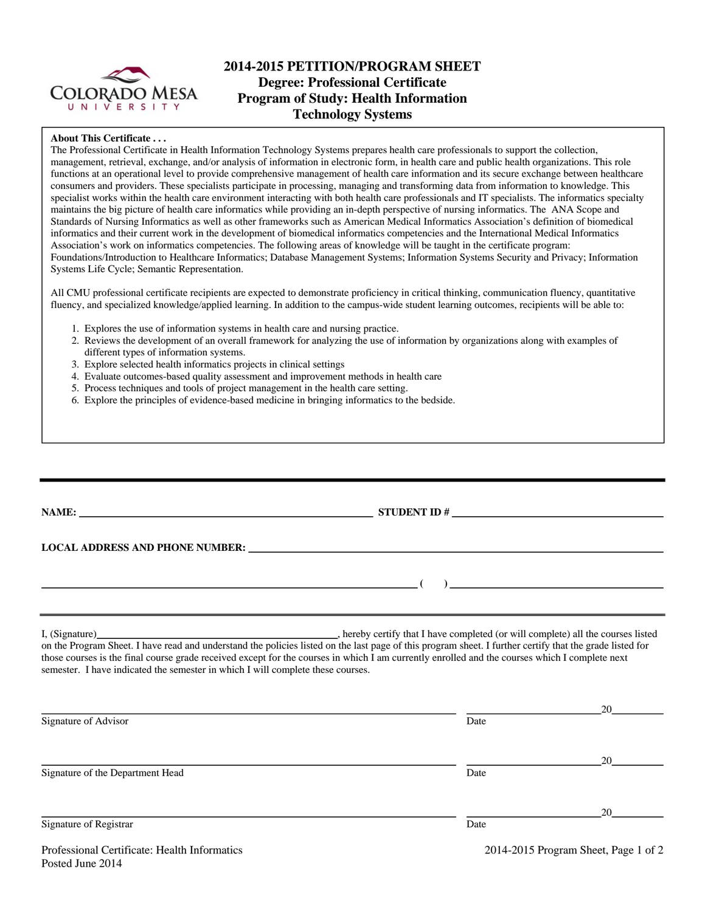

# **2014-2015 PETITION/PROGRAM SHEET Degree: Professional Certificate Program of Study: Health Information Technology Systems**

### **About This Certificate . . .**

The Professional Certificate in Health Information Technology Systems prepares health care professionals to support the collection, management, retrieval, exchange, and/or analysis of information in electronic form, in health care and public health organizations. This role functions at an operational level to provide comprehensive management of health care information and its secure exchange between healthcare consumers and providers. These specialists participate in processing, managing and transforming data from information to knowledge. This specialist works within the health care environment interacting with both health care professionals and IT specialists. The informatics specialty maintains the big picture of health care informatics while providing an in-depth perspective of nursing informatics. The ANA Scope and Standards of Nursing Informatics as well as other frameworks such as American Medical Informatics Association's definition of biomedical informatics and their current work in the development of biomedical informatics competencies and the International Medical Informatics Association's work on informatics competencies. The following areas of knowledge will be taught in the certificate program: Foundations/Introduction to Healthcare Informatics; Database Management Systems; Information Systems Security and Privacy; Information Systems Life Cycle; Semantic Representation.

All CMU professional certificate recipients are expected to demonstrate proficiency in critical thinking, communication fluency, quantitative fluency, and specialized knowledge/applied learning. In addition to the campus-wide student learning outcomes, recipients will be able to:

- 1. Explores the use of information systems in health care and nursing practice.
- 2. Reviews the development of an overall framework for analyzing the use of information by organizations along with examples of different types of information systems.
- 3. Explore selected health informatics projects in clinical settings
- 4. Evaluate outcomes-based quality assessment and improvement methods in health care
- 5. Process techniques and tools of project management in the health care setting.
- 6. Explore the principles of evidence-based medicine in bringing informatics to the bedside.

| LOCAL ADDRESS AND PHONE NUMBER: University of the contract of the contract of the contract of the contract of the contract of the contract of the contract of the contract of the contract of the contract of the contract of                                                                                                                                                                 |                                             |
|-----------------------------------------------------------------------------------------------------------------------------------------------------------------------------------------------------------------------------------------------------------------------------------------------------------------------------------------------------------------------------------------------|---------------------------------------------|
|                                                                                                                                                                                                                                                                                                                                                                                               |                                             |
|                                                                                                                                                                                                                                                                                                                                                                                               | $\left(\begin{array}{c}1\end{array}\right)$ |
| on the Program Sheet. I have read and understand the policies listed on the last page of this program sheet. I further certify that the grade listed for<br>those courses is the final course grade received except for the courses in which I am currently enrolled and the courses which I complete next<br>semester. I have indicated the semester in which I will complete these courses. |                                             |

| Signature of Advisor             | Date |    |
|----------------------------------|------|----|
|                                  |      | 20 |
| Signature of the Department Head | Date |    |
|                                  |      | 20 |
| Signature of Registrar           | Date |    |

<u>20</u>